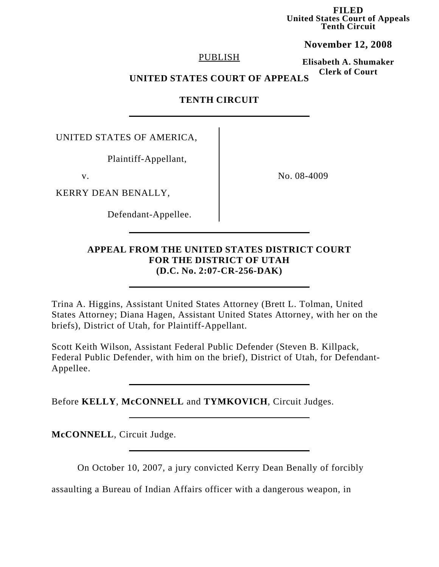**FILED United States Court of Appeals Tenth Circuit**

**November 12, 2008**

### PUBLISH

**Elisabeth A. Shumaker Clerk of Court**

### **UNITED STATES COURT OF APPEALS**

# **TENTH CIRCUIT**

UNITED STATES OF AMERICA,

Plaintiff-Appellant,

KERRY DEAN BENALLY,

Defendant-Appellee.

v. No. 08-4009

# **APPEAL FROM THE UNITED STATES DISTRICT COURT FOR THE DISTRICT OF UTAH (D.C. No. 2:07-CR-256-DAK)**

Trina A. Higgins, Assistant United States Attorney (Brett L. Tolman, United States Attorney; Diana Hagen, Assistant United States Attorney, with her on the briefs), District of Utah, for Plaintiff-Appellant.

Scott Keith Wilson, Assistant Federal Public Defender (Steven B. Killpack, Federal Public Defender, with him on the brief), District of Utah, for Defendant-Appellee.

Before **KELLY**, **McCONNELL** and **TYMKOVICH**, Circuit Judges.

**McCONNELL**, Circuit Judge.

On October 10, 2007, a jury convicted Kerry Dean Benally of forcibly

assaulting a Bureau of Indian Affairs officer with a dangerous weapon, in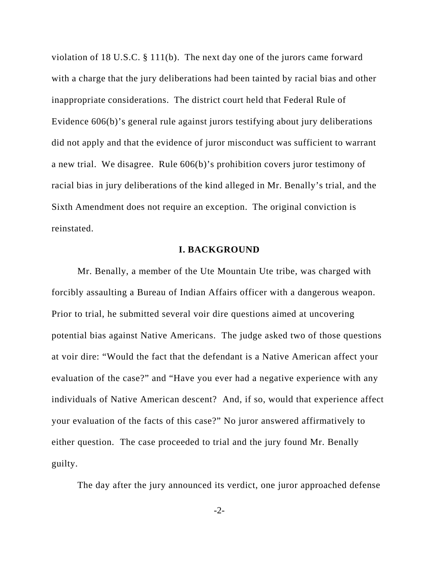violation of 18 U.S.C. § 111(b). The next day one of the jurors came forward with a charge that the jury deliberations had been tainted by racial bias and other inappropriate considerations. The district court held that Federal Rule of Evidence 606(b)'s general rule against jurors testifying about jury deliberations did not apply and that the evidence of juror misconduct was sufficient to warrant a new trial. We disagree. Rule 606(b)'s prohibition covers juror testimony of racial bias in jury deliberations of the kind alleged in Mr. Benally's trial, and the Sixth Amendment does not require an exception. The original conviction is reinstated.

#### **I. BACKGROUND**

Mr. Benally, a member of the Ute Mountain Ute tribe, was charged with forcibly assaulting a Bureau of Indian Affairs officer with a dangerous weapon. Prior to trial, he submitted several voir dire questions aimed at uncovering potential bias against Native Americans. The judge asked two of those questions at voir dire: "Would the fact that the defendant is a Native American affect your evaluation of the case?" and "Have you ever had a negative experience with any individuals of Native American descent? And, if so, would that experience affect your evaluation of the facts of this case?" No juror answered affirmatively to either question. The case proceeded to trial and the jury found Mr. Benally guilty.

The day after the jury announced its verdict, one juror approached defense

-2-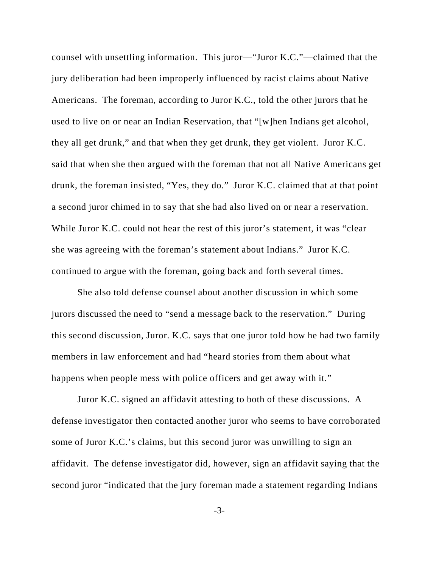counsel with unsettling information. This juror—"Juror K.C."—claimed that the jury deliberation had been improperly influenced by racist claims about Native Americans. The foreman, according to Juror K.C., told the other jurors that he used to live on or near an Indian Reservation, that "[w]hen Indians get alcohol, they all get drunk," and that when they get drunk, they get violent. Juror K.C. said that when she then argued with the foreman that not all Native Americans get drunk, the foreman insisted, "Yes, they do." Juror K.C. claimed that at that point a second juror chimed in to say that she had also lived on or near a reservation. While Juror K.C. could not hear the rest of this juror's statement, it was "clear" she was agreeing with the foreman's statement about Indians." Juror K.C. continued to argue with the foreman, going back and forth several times.

She also told defense counsel about another discussion in which some jurors discussed the need to "send a message back to the reservation." During this second discussion, Juror. K.C. says that one juror told how he had two family members in law enforcement and had "heard stories from them about what happens when people mess with police officers and get away with it."

Juror K.C. signed an affidavit attesting to both of these discussions. A defense investigator then contacted another juror who seems to have corroborated some of Juror K.C.'s claims, but this second juror was unwilling to sign an affidavit. The defense investigator did, however, sign an affidavit saying that the second juror "indicated that the jury foreman made a statement regarding Indians

-3-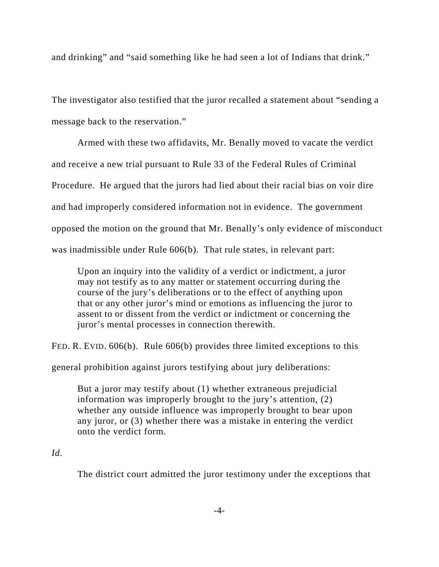and drinking" and "said something like he had seen a lot of Indians that drink."

The investigator also testified that the juror recalled a statement about "sending a message back to the reservation."

Armed with these two affidavits, Mr. Benally moved to vacate the verdict and receive a new trial pursuant to Rule 33 of the Federal Rules of Criminal Procedure. He argued that the jurors had lied about their racial bias on voir dire and had improperly considered information not in evidence. The government opposed the motion on the ground that Mr. Benally's only evidence of misconduct was inadmissible under Rule 606(b). That rule states, in relevant part:

Upon an inquiry into the validity of a verdict or indictment, a juror may not testify as to any matter or statement occurring during the course of the jury's deliberations or to the effect of anything upon that or any other juror's mind or emotions as influencing the juror to assent to or dissent from the verdict or indictment or concerning the juror's mental processes in connection therewith.

FED. R. EVID. 606(b). Rule 606(b) provides three limited exceptions to this

general prohibition against jurors testifying about jury deliberations:

But a juror may testify about (1) whether extraneous prejudicial information was improperly brought to the jury's attention, (2) whether any outside influence was improperly brought to bear upon any juror, or (3) whether there was a mistake in entering the verdict onto the verdict form.

# *Id.*

The district court admitted the juror testimony under the exceptions that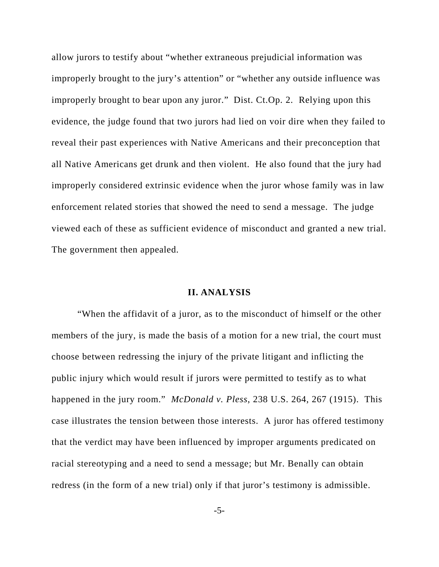allow jurors to testify about "whether extraneous prejudicial information was improperly brought to the jury's attention" or "whether any outside influence was improperly brought to bear upon any juror." Dist. Ct.Op. 2. Relying upon this evidence, the judge found that two jurors had lied on voir dire when they failed to reveal their past experiences with Native Americans and their preconception that all Native Americans get drunk and then violent. He also found that the jury had improperly considered extrinsic evidence when the juror whose family was in law enforcement related stories that showed the need to send a message. The judge viewed each of these as sufficient evidence of misconduct and granted a new trial. The government then appealed.

#### **II. ANALYSIS**

"When the affidavit of a juror, as to the misconduct of himself or the other members of the jury, is made the basis of a motion for a new trial, the court must choose between redressing the injury of the private litigant and inflicting the public injury which would result if jurors were permitted to testify as to what happened in the jury room." *McDonald v. Pless*, 238 U.S. 264, 267 (1915). This case illustrates the tension between those interests. A juror has offered testimony that the verdict may have been influenced by improper arguments predicated on racial stereotyping and a need to send a message; but Mr. Benally can obtain redress (in the form of a new trial) only if that juror's testimony is admissible.

-5-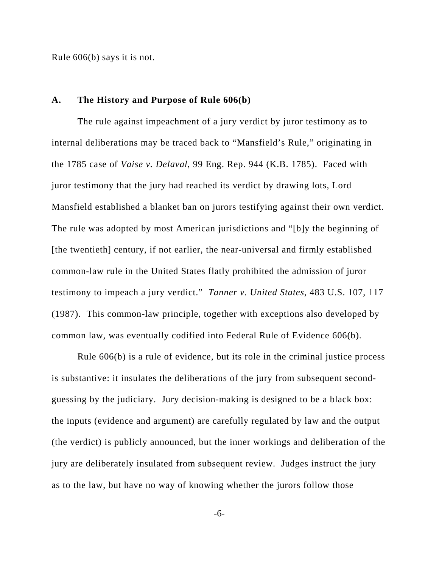Rule 606(b) says it is not.

### **A. The History and Purpose of Rule 606(b)**

The rule against impeachment of a jury verdict by juror testimony as to internal deliberations may be traced back to "Mansfield's Rule," originating in the 1785 case of *Vaise v. Delaval*, 99 Eng. Rep. 944 (K.B. 1785). Faced with juror testimony that the jury had reached its verdict by drawing lots, Lord Mansfield established a blanket ban on jurors testifying against their own verdict. The rule was adopted by most American jurisdictions and "[b]y the beginning of [the twentieth] century, if not earlier, the near-universal and firmly established common-law rule in the United States flatly prohibited the admission of juror testimony to impeach a jury verdict." *Tanner v. United States*, 483 U.S. 107, 117 (1987). This common-law principle, together with exceptions also developed by common law, was eventually codified into Federal Rule of Evidence 606(b).

Rule 606(b) is a rule of evidence, but its role in the criminal justice process is substantive: it insulates the deliberations of the jury from subsequent secondguessing by the judiciary. Jury decision-making is designed to be a black box: the inputs (evidence and argument) are carefully regulated by law and the output (the verdict) is publicly announced, but the inner workings and deliberation of the jury are deliberately insulated from subsequent review. Judges instruct the jury as to the law, but have no way of knowing whether the jurors follow those

-6-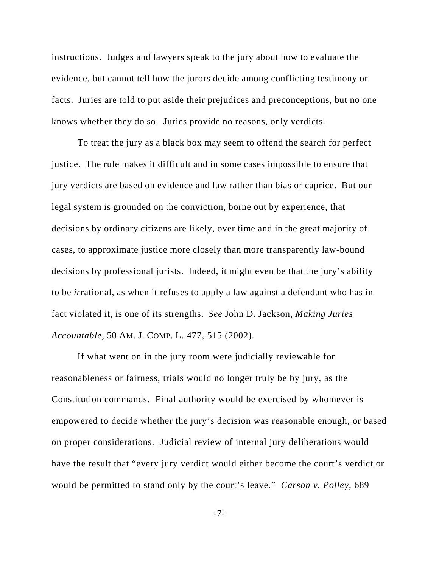instructions. Judges and lawyers speak to the jury about how to evaluate the evidence, but cannot tell how the jurors decide among conflicting testimony or facts. Juries are told to put aside their prejudices and preconceptions, but no one knows whether they do so. Juries provide no reasons, only verdicts.

 To treat the jury as a black box may seem to offend the search for perfect justice. The rule makes it difficult and in some cases impossible to ensure that jury verdicts are based on evidence and law rather than bias or caprice. But our legal system is grounded on the conviction, borne out by experience, that decisions by ordinary citizens are likely, over time and in the great majority of cases, to approximate justice more closely than more transparently law-bound decisions by professional jurists. Indeed, it might even be that the jury's ability to be *ir*rational, as when it refuses to apply a law against a defendant who has in fact violated it, is one of its strengths. *See* John D. Jackson, *Making Juries Accountable*, 50 AM. J. COMP. L. 477, 515 (2002).

If what went on in the jury room were judicially reviewable for reasonableness or fairness, trials would no longer truly be by jury, as the Constitution commands. Final authority would be exercised by whomever is empowered to decide whether the jury's decision was reasonable enough, or based on proper considerations. Judicial review of internal jury deliberations would have the result that "every jury verdict would either become the court's verdict or would be permitted to stand only by the court's leave." *Carson v. Polley*, 689

-7-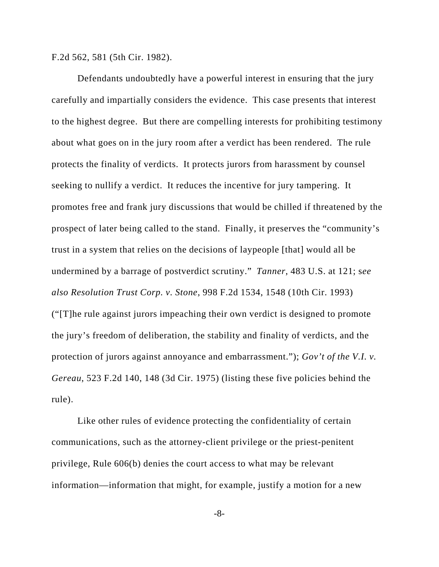F.2d 562, 581 (5th Cir. 1982).

Defendants undoubtedly have a powerful interest in ensuring that the jury carefully and impartially considers the evidence. This case presents that interest to the highest degree. But there are compelling interests for prohibiting testimony about what goes on in the jury room after a verdict has been rendered. The rule protects the finality of verdicts. It protects jurors from harassment by counsel seeking to nullify a verdict. It reduces the incentive for jury tampering. It promotes free and frank jury discussions that would be chilled if threatened by the prospect of later being called to the stand. Finally, it preserves the "community's trust in a system that relies on the decisions of laypeople [that] would all be undermined by a barrage of postverdict scrutiny." *Tanner*, 483 U.S. at 121; s*ee also Resolution Trust Corp. v. Stone*, 998 F.2d 1534, 1548 (10th Cir. 1993) ("[T]he rule against jurors impeaching their own verdict is designed to promote the jury's freedom of deliberation, the stability and finality of verdicts, and the protection of jurors against annoyance and embarrassment."); *Gov't of the V.I. v. Gereau*, 523 F.2d 140, 148 (3d Cir. 1975) (listing these five policies behind the rule).

Like other rules of evidence protecting the confidentiality of certain communications, such as the attorney-client privilege or the priest-penitent privilege, Rule 606(b) denies the court access to what may be relevant information—information that might, for example, justify a motion for a new

-8-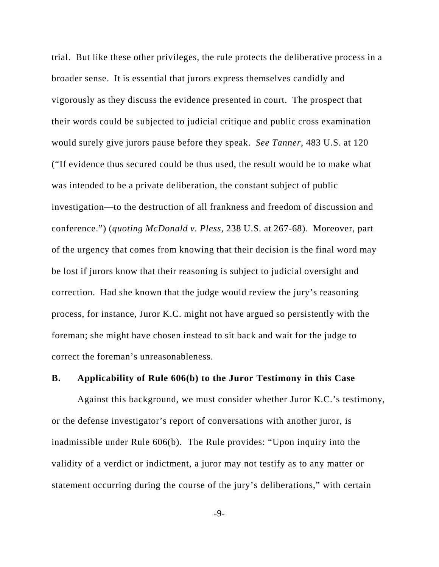trial. But like these other privileges, the rule protects the deliberative process in a broader sense. It is essential that jurors express themselves candidly and vigorously as they discuss the evidence presented in court. The prospect that their words could be subjected to judicial critique and public cross examination would surely give jurors pause before they speak. *See Tanner*, 483 U.S. at 120 ("If evidence thus secured could be thus used, the result would be to make what was intended to be a private deliberation, the constant subject of public investigation—to the destruction of all frankness and freedom of discussion and conference.") (*quoting McDonald v. Pless*, 238 U.S. at 267-68). Moreover, part of the urgency that comes from knowing that their decision is the final word may be lost if jurors know that their reasoning is subject to judicial oversight and correction. Had she known that the judge would review the jury's reasoning process, for instance, Juror K.C. might not have argued so persistently with the foreman; she might have chosen instead to sit back and wait for the judge to correct the foreman's unreasonableness.

#### **B. Applicability of Rule 606(b) to the Juror Testimony in this Case**

Against this background, we must consider whether Juror K.C.'s testimony, or the defense investigator's report of conversations with another juror, is inadmissible under Rule 606(b). The Rule provides: "Upon inquiry into the validity of a verdict or indictment, a juror may not testify as to any matter or statement occurring during the course of the jury's deliberations," with certain

-9-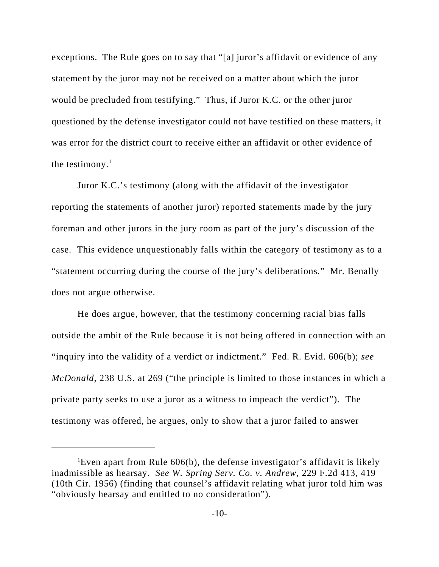exceptions. The Rule goes on to say that "[a] juror's affidavit or evidence of any statement by the juror may not be received on a matter about which the juror would be precluded from testifying." Thus, if Juror K.C. or the other juror questioned by the defense investigator could not have testified on these matters, it was error for the district court to receive either an affidavit or other evidence of the testimony. $<sup>1</sup>$ </sup>

Juror K.C.'s testimony (along with the affidavit of the investigator reporting the statements of another juror) reported statements made by the jury foreman and other jurors in the jury room as part of the jury's discussion of the case. This evidence unquestionably falls within the category of testimony as to a "statement occurring during the course of the jury's deliberations." Mr. Benally does not argue otherwise.

He does argue, however, that the testimony concerning racial bias falls outside the ambit of the Rule because it is not being offered in connection with an "inquiry into the validity of a verdict or indictment." Fed. R. Evid. 606(b); *see McDonald*, 238 U.S. at 269 ("the principle is limited to those instances in which a private party seeks to use a juror as a witness to impeach the verdict"). The testimony was offered, he argues, only to show that a juror failed to answer

<sup>&</sup>lt;sup>1</sup>Even apart from Rule  $606(b)$ , the defense investigator's affidavit is likely inadmissible as hearsay. *See W. Spring Serv. Co. v. Andrew*, 229 F.2d 413, 419 (10th Cir. 1956) (finding that counsel's affidavit relating what juror told him was "obviously hearsay and entitled to no consideration").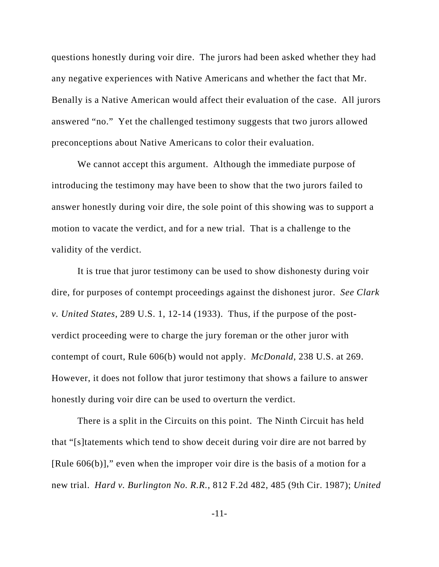questions honestly during voir dire. The jurors had been asked whether they had any negative experiences with Native Americans and whether the fact that Mr. Benally is a Native American would affect their evaluation of the case. All jurors answered "no." Yet the challenged testimony suggests that two jurors allowed preconceptions about Native Americans to color their evaluation.

We cannot accept this argument. Although the immediate purpose of introducing the testimony may have been to show that the two jurors failed to answer honestly during voir dire, the sole point of this showing was to support a motion to vacate the verdict, and for a new trial. That is a challenge to the validity of the verdict.

It is true that juror testimony can be used to show dishonesty during voir dire, for purposes of contempt proceedings against the dishonest juror. *See Clark v. United States*, 289 U.S. 1, 12-14 (1933). Thus, if the purpose of the postverdict proceeding were to charge the jury foreman or the other juror with contempt of court, Rule 606(b) would not apply. *McDonald*, 238 U.S. at 269. However, it does not follow that juror testimony that shows a failure to answer honestly during voir dire can be used to overturn the verdict.

There is a split in the Circuits on this point. The Ninth Circuit has held that "[s]tatements which tend to show deceit during voir dire are not barred by [Rule 606(b)]," even when the improper voir dire is the basis of a motion for a new trial. *Hard v. Burlington No. R.R.*, 812 F.2d 482, 485 (9th Cir. 1987); *United*

-11-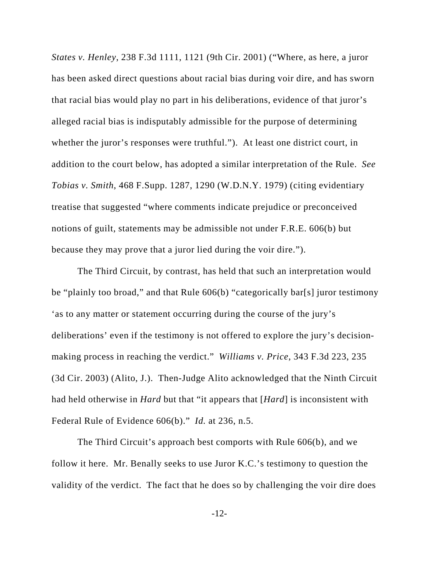*States v. Henley*, 238 F.3d 1111, 1121 (9th Cir. 2001) ("Where, as here, a juror has been asked direct questions about racial bias during voir dire, and has sworn that racial bias would play no part in his deliberations, evidence of that juror's alleged racial bias is indisputably admissible for the purpose of determining whether the juror's responses were truthful."). At least one district court, in addition to the court below, has adopted a similar interpretation of the Rule. *See Tobias v. Smith*, 468 F.Supp. 1287, 1290 (W.D.N.Y. 1979) (citing evidentiary treatise that suggested "where comments indicate prejudice or preconceived notions of guilt, statements may be admissible not under F.R.E. 606(b) but because they may prove that a juror lied during the voir dire.").

The Third Circuit, by contrast, has held that such an interpretation would be "plainly too broad," and that Rule 606(b) "categorically bar[s] juror testimony 'as to any matter or statement occurring during the course of the jury's deliberations' even if the testimony is not offered to explore the jury's decisionmaking process in reaching the verdict." *Williams v. Price*, 343 F.3d 223, 235 (3d Cir. 2003) (Alito, J.). Then-Judge Alito acknowledged that the Ninth Circuit had held otherwise in *Hard* but that "it appears that [*Hard*] is inconsistent with Federal Rule of Evidence 606(b)." *Id.* at 236, n.5.

The Third Circuit's approach best comports with Rule 606(b), and we follow it here. Mr. Benally seeks to use Juror K.C.'s testimony to question the validity of the verdict. The fact that he does so by challenging the voir dire does

-12-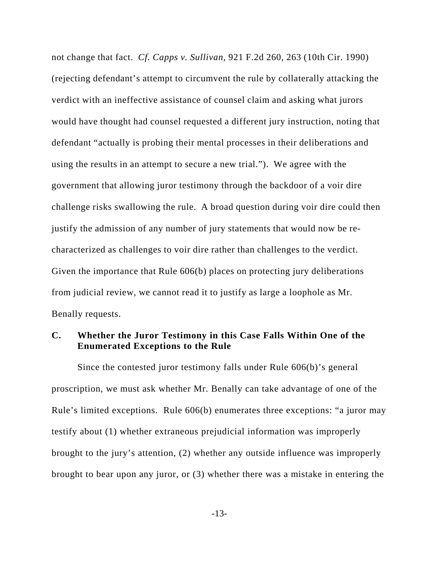not change that fact. *Cf. Capps v. Sullivan*, 921 F.2d 260, 263 (10th Cir. 1990) (rejecting defendant's attempt to circumvent the rule by collaterally attacking the verdict with an ineffective assistance of counsel claim and asking what jurors would have thought had counsel requested a different jury instruction, noting that defendant "actually is probing their mental processes in their deliberations and using the results in an attempt to secure a new trial."). We agree with the government that allowing juror testimony through the backdoor of a voir dire challenge risks swallowing the rule. A broad question during voir dire could then justify the admission of any number of jury statements that would now be recharacterized as challenges to voir dire rather than challenges to the verdict. Given the importance that Rule 606(b) places on protecting jury deliberations from judicial review, we cannot read it to justify as large a loophole as Mr. Benally requests.

# **C. Whether the Juror Testimony in this Case Falls Within One of the Enumerated Exceptions to the Rule**

Since the contested juror testimony falls under Rule 606(b)'s general proscription, we must ask whether Mr. Benally can take advantage of one of the Rule's limited exceptions. Rule 606(b) enumerates three exceptions: "a juror may testify about (1) whether extraneous prejudicial information was improperly brought to the jury's attention, (2) whether any outside influence was improperly brought to bear upon any juror, or (3) whether there was a mistake in entering the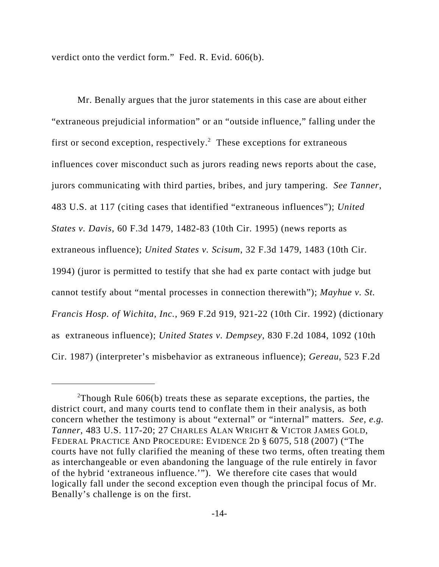verdict onto the verdict form." Fed. R. Evid. 606(b).

Mr. Benally argues that the juror statements in this case are about either "extraneous prejudicial information" or an "outside influence," falling under the first or second exception, respectively.<sup>2</sup> These exceptions for extraneous influences cover misconduct such as jurors reading news reports about the case, jurors communicating with third parties, bribes, and jury tampering. *See Tanner*, 483 U.S. at 117 (citing cases that identified "extraneous influences"); *United States v. Davis*, 60 F.3d 1479, 1482-83 (10th Cir. 1995) (news reports as extraneous influence); *United States v. Scisum*, 32 F.3d 1479, 1483 (10th Cir. 1994) (juror is permitted to testify that she had ex parte contact with judge but cannot testify about "mental processes in connection therewith"); *Mayhue v. St. Francis Hosp. of Wichita, Inc.*, 969 F.2d 919, 921-22 (10th Cir. 1992) (dictionary as extraneous influence); *United States v. Dempsey*, 830 F.2d 1084, 1092 (10th Cir. 1987) (interpreter's misbehavior as extraneous influence); *Gereau*, 523 F.2d

<sup>&</sup>lt;sup>2</sup>Though Rule  $606(b)$  treats these as separate exceptions, the parties, the district court, and many courts tend to conflate them in their analysis, as both concern whether the testimony is about "external" or "internal" matters. *See, e.g. Tanner*, 483 U.S. 117-20; 27 CHARLES ALAN WRIGHT & VICTOR JAMES GOLD, FEDERAL PRACTICE AND PROCEDURE: EVIDENCE 2D § 6075, 518 (2007) ("The courts have not fully clarified the meaning of these two terms, often treating them as interchangeable or even abandoning the language of the rule entirely in favor of the hybrid 'extraneous influence.'"). We therefore cite cases that would logically fall under the second exception even though the principal focus of Mr. Benally's challenge is on the first.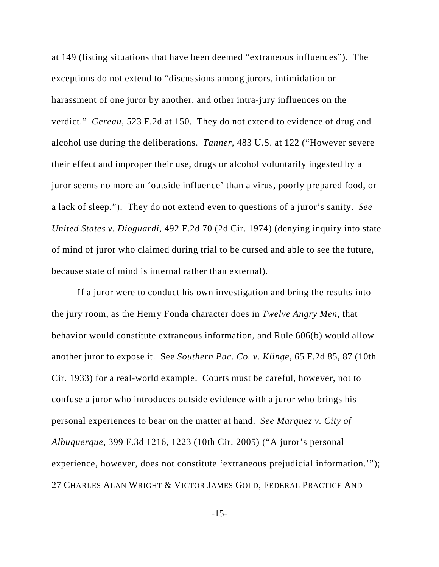at 149 (listing situations that have been deemed "extraneous influences"). The exceptions do not extend to "discussions among jurors, intimidation or harassment of one juror by another, and other intra-jury influences on the verdict." *Gereau*, 523 F.2d at 150. They do not extend to evidence of drug and alcohol use during the deliberations. *Tanner*, 483 U.S. at 122 ("However severe their effect and improper their use, drugs or alcohol voluntarily ingested by a juror seems no more an 'outside influence' than a virus, poorly prepared food, or a lack of sleep."). They do not extend even to questions of a juror's sanity. *See United States v. Dioguardi*, 492 F.2d 70 (2d Cir. 1974) (denying inquiry into state of mind of juror who claimed during trial to be cursed and able to see the future, because state of mind is internal rather than external).

If a juror were to conduct his own investigation and bring the results into the jury room, as the Henry Fonda character does in *Twelve Angry Men*, that behavior would constitute extraneous information, and Rule 606(b) would allow another juror to expose it. See *Southern Pac. Co. v. Klinge*, 65 F.2d 85, 87 (10th Cir. 1933) for a real-world example. Courts must be careful, however, not to confuse a juror who introduces outside evidence with a juror who brings his personal experiences to bear on the matter at hand. *See Marquez v. City of Albuquerque*, 399 F.3d 1216, 1223 (10th Cir. 2005) ("A juror's personal experience, however, does not constitute 'extraneous prejudicial information.'"); 27 CHARLES ALAN WRIGHT & VICTOR JAMES GOLD, FEDERAL PRACTICE AND

-15-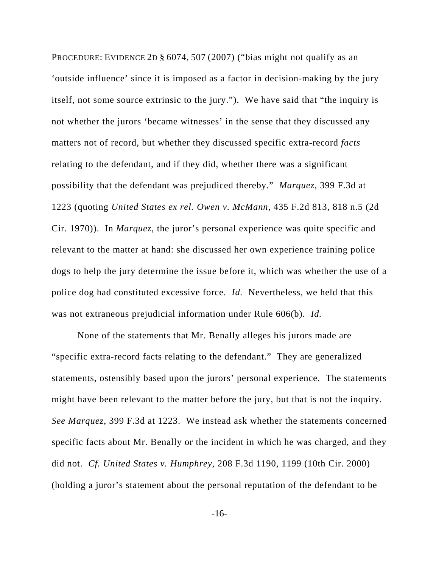PROCEDURE: EVIDENCE 2D § 6074, 507 (2007) ("bias might not qualify as an 'outside influence' since it is imposed as a factor in decision-making by the jury itself, not some source extrinsic to the jury."). We have said that "the inquiry is not whether the jurors 'became witnesses' in the sense that they discussed any matters not of record, but whether they discussed specific extra-record *facts* relating to the defendant, and if they did, whether there was a significant possibility that the defendant was prejudiced thereby." *Marquez*, 399 F.3d at 1223 (quoting *United States ex rel. Owen v. McMann*, 435 F.2d 813, 818 n.5 (2d Cir. 1970)). In *Marquez*, the juror's personal experience was quite specific and relevant to the matter at hand: she discussed her own experience training police dogs to help the jury determine the issue before it, which was whether the use of a police dog had constituted excessive force. *Id.* Nevertheless, we held that this was not extraneous prejudicial information under Rule 606(b). *Id.*

None of the statements that Mr. Benally alleges his jurors made are "specific extra-record facts relating to the defendant." They are generalized statements, ostensibly based upon the jurors' personal experience. The statements might have been relevant to the matter before the jury, but that is not the inquiry. *See Marquez*, 399 F.3d at 1223. We instead ask whether the statements concerned specific facts about Mr. Benally or the incident in which he was charged, and they did not. *Cf. United States v. Humphrey*, 208 F.3d 1190, 1199 (10th Cir. 2000) (holding a juror's statement about the personal reputation of the defendant to be

-16-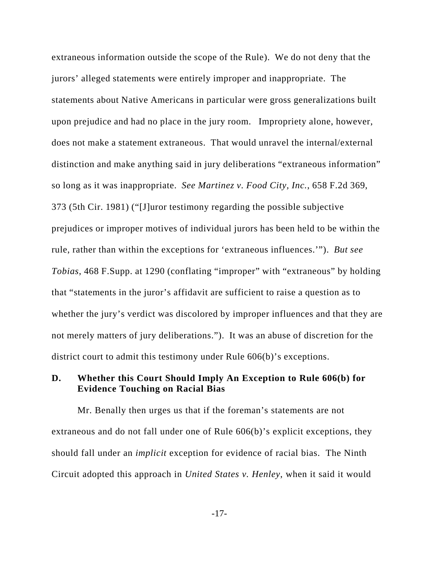extraneous information outside the scope of the Rule). We do not deny that the jurors' alleged statements were entirely improper and inappropriate. The statements about Native Americans in particular were gross generalizations built upon prejudice and had no place in the jury room. Impropriety alone, however, does not make a statement extraneous. That would unravel the internal/external distinction and make anything said in jury deliberations "extraneous information" so long as it was inappropriate. *See Martinez v. Food City, Inc.*, 658 F.2d 369, 373 (5th Cir. 1981) ("[J]uror testimony regarding the possible subjective prejudices or improper motives of individual jurors has been held to be within the rule, rather than within the exceptions for 'extraneous influences.'"). *But see Tobias*, 468 F.Supp. at 1290 (conflating "improper" with "extraneous" by holding that "statements in the juror's affidavit are sufficient to raise a question as to whether the jury's verdict was discolored by improper influences and that they are not merely matters of jury deliberations."). It was an abuse of discretion for the district court to admit this testimony under Rule 606(b)'s exceptions.

# **D. Whether this Court Should Imply An Exception to Rule 606(b) for Evidence Touching on Racial Bias**

Mr. Benally then urges us that if the foreman's statements are not extraneous and do not fall under one of Rule 606(b)'s explicit exceptions, they should fall under an *implicit* exception for evidence of racial bias. The Ninth Circuit adopted this approach in *United States v. Henley*, when it said it would

-17-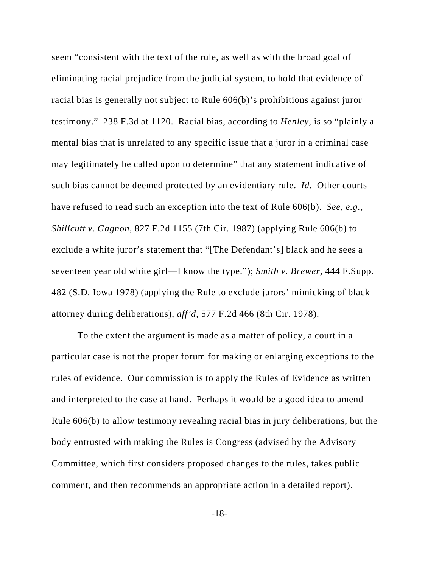seem "consistent with the text of the rule, as well as with the broad goal of eliminating racial prejudice from the judicial system, to hold that evidence of racial bias is generally not subject to Rule 606(b)'s prohibitions against juror testimony." 238 F.3d at 1120. Racial bias, according to *Henley*, is so "plainly a mental bias that is unrelated to any specific issue that a juror in a criminal case may legitimately be called upon to determine" that any statement indicative of such bias cannot be deemed protected by an evidentiary rule. *Id.* Other courts have refused to read such an exception into the text of Rule 606(b). *See, e.g.*, *Shillcutt v. Gagnon*, 827 F.2d 1155 (7th Cir. 1987) (applying Rule 606(b) to exclude a white juror's statement that "[The Defendant's] black and he sees a seventeen year old white girl—I know the type."); *Smith v. Brewer*, 444 F.Supp. 482 (S.D. Iowa 1978) (applying the Rule to exclude jurors' mimicking of black attorney during deliberations), *aff'd*, 577 F.2d 466 (8th Cir. 1978).

To the extent the argument is made as a matter of policy, a court in a particular case is not the proper forum for making or enlarging exceptions to the rules of evidence. Our commission is to apply the Rules of Evidence as written and interpreted to the case at hand. Perhaps it would be a good idea to amend Rule 606(b) to allow testimony revealing racial bias in jury deliberations, but the body entrusted with making the Rules is Congress (advised by the Advisory Committee, which first considers proposed changes to the rules, takes public comment, and then recommends an appropriate action in a detailed report).

-18-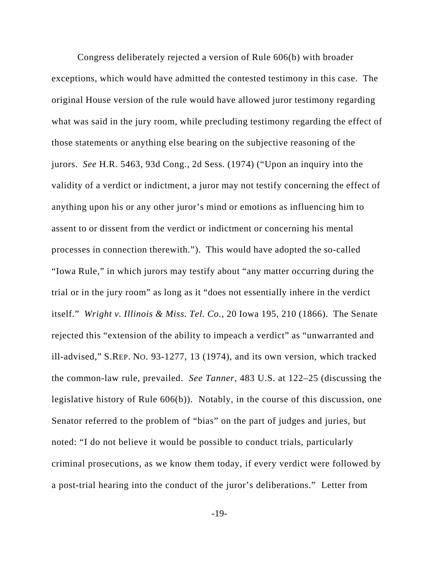Congress deliberately rejected a version of Rule 606(b) with broader exceptions, which would have admitted the contested testimony in this case. The original House version of the rule would have allowed juror testimony regarding what was said in the jury room, while precluding testimony regarding the effect of those statements or anything else bearing on the subjective reasoning of the jurors. *See* H.R. 5463, 93d Cong., 2d Sess. (1974) ("Upon an inquiry into the validity of a verdict or indictment, a juror may not testify concerning the effect of anything upon his or any other juror's mind or emotions as influencing him to assent to or dissent from the verdict or indictment or concerning his mental processes in connection therewith."). This would have adopted the so-called "Iowa Rule," in which jurors may testify about "any matter occurring during the trial or in the jury room" as long as it "does not essentially inhere in the verdict itself." *Wright v. Illinois & Miss. Tel. Co.*, 20 Iowa 195, 210 (1866). The Senate rejected this "extension of the ability to impeach a verdict" as "unwarranted and ill-advised," S.REP. NO. 93-1277, 13 (1974), and its own version, which tracked the common-law rule, prevailed. *See Tanner*, 483 U.S. at 122–25 (discussing the legislative history of Rule 606(b)). Notably, in the course of this discussion, one Senator referred to the problem of "bias" on the part of judges and juries, but noted: "I do not believe it would be possible to conduct trials, particularly criminal prosecutions, as we know them today, if every verdict were followed by a post-trial hearing into the conduct of the juror's deliberations." Letter from

-19-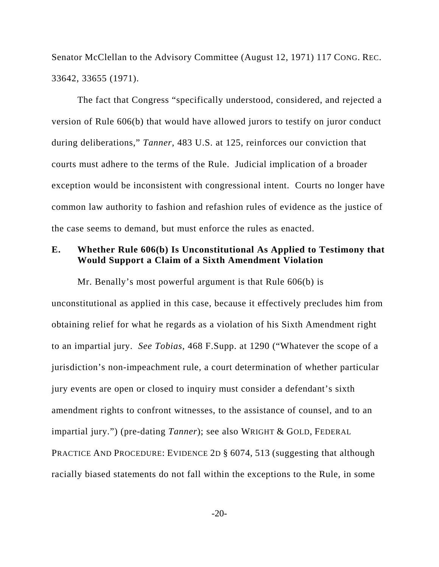Senator McClellan to the Advisory Committee (August 12, 1971) 117 CONG. REC. 33642, 33655 (1971).

The fact that Congress "specifically understood, considered, and rejected a version of Rule 606(b) that would have allowed jurors to testify on juror conduct during deliberations," *Tanner*, 483 U.S. at 125, reinforces our conviction that courts must adhere to the terms of the Rule. Judicial implication of a broader exception would be inconsistent with congressional intent. Courts no longer have common law authority to fashion and refashion rules of evidence as the justice of the case seems to demand, but must enforce the rules as enacted.

### **E. Whether Rule 606(b) Is Unconstitutional As Applied to Testimony that Would Support a Claim of a Sixth Amendment Violation**

Mr. Benally's most powerful argument is that Rule 606(b) is unconstitutional as applied in this case, because it effectively precludes him from obtaining relief for what he regards as a violation of his Sixth Amendment right to an impartial jury. *See Tobias*, 468 F.Supp. at 1290 ("Whatever the scope of a jurisdiction's non-impeachment rule, a court determination of whether particular jury events are open or closed to inquiry must consider a defendant's sixth amendment rights to confront witnesses, to the assistance of counsel, and to an impartial jury.") (pre-dating *Tanner*); see also WRIGHT & GOLD, FEDERAL PRACTICE AND PROCEDURE: EVIDENCE 2D § 6074, 513 (suggesting that although racially biased statements do not fall within the exceptions to the Rule, in some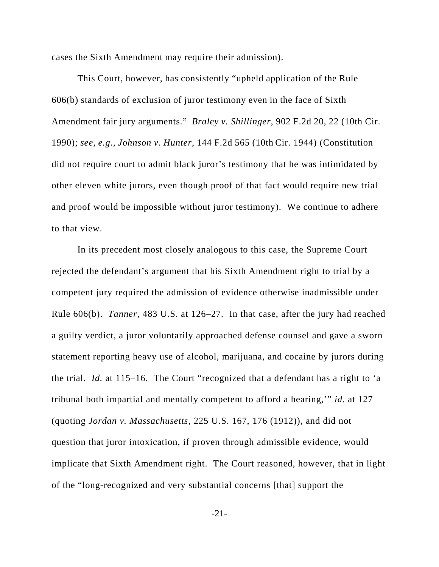cases the Sixth Amendment may require their admission).

This Court, however, has consistently "upheld application of the Rule 606(b) standards of exclusion of juror testimony even in the face of Sixth Amendment fair jury arguments." *Braley v. Shillinger*, 902 F.2d 20, 22 (10th Cir. 1990); *see, e.g., Johnson v. Hunter*, 144 F.2d 565 (10th Cir. 1944) (Constitution did not require court to admit black juror's testimony that he was intimidated by other eleven white jurors, even though proof of that fact would require new trial and proof would be impossible without juror testimony). We continue to adhere to that view.

In its precedent most closely analogous to this case, the Supreme Court rejected the defendant's argument that his Sixth Amendment right to trial by a competent jury required the admission of evidence otherwise inadmissible under Rule 606(b). *Tanner*, 483 U.S. at 126–27. In that case, after the jury had reached a guilty verdict, a juror voluntarily approached defense counsel and gave a sworn statement reporting heavy use of alcohol, marijuana, and cocaine by jurors during the trial. *Id.* at 115–16. The Court "recognized that a defendant has a right to 'a tribunal both impartial and mentally competent to afford a hearing,'" *id.* at 127 (quoting *Jordan v. Massachusetts*, 225 U.S. 167, 176 (1912)), and did not question that juror intoxication, if proven through admissible evidence, would implicate that Sixth Amendment right. The Court reasoned, however, that in light of the "long-recognized and very substantial concerns [that] support the

-21-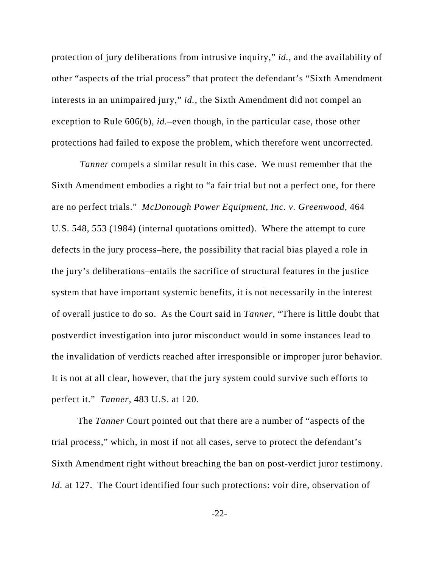protection of jury deliberations from intrusive inquiry," *id.*, and the availability of other "aspects of the trial process" that protect the defendant's "Sixth Amendment interests in an unimpaired jury," *id.*, the Sixth Amendment did not compel an exception to Rule 606(b), *id.*–even though, in the particular case, those other protections had failed to expose the problem, which therefore went uncorrected.

*Tanner* compels a similar result in this case. We must remember that the Sixth Amendment embodies a right to "a fair trial but not a perfect one, for there are no perfect trials." *McDonough Power Equipment, Inc. v. Greenwood*, 464 U.S. 548, 553 (1984) (internal quotations omitted). Where the attempt to cure defects in the jury process–here, the possibility that racial bias played a role in the jury's deliberations–entails the sacrifice of structural features in the justice system that have important systemic benefits, it is not necessarily in the interest of overall justice to do so. As the Court said in *Tanner*, "There is little doubt that postverdict investigation into juror misconduct would in some instances lead to the invalidation of verdicts reached after irresponsible or improper juror behavior. It is not at all clear, however, that the jury system could survive such efforts to perfect it." *Tanner*, 483 U.S. at 120.

The *Tanner* Court pointed out that there are a number of "aspects of the trial process," which, in most if not all cases, serve to protect the defendant's Sixth Amendment right without breaching the ban on post-verdict juror testimony. *Id.* at 127. The Court identified four such protections: voir dire, observation of

-22-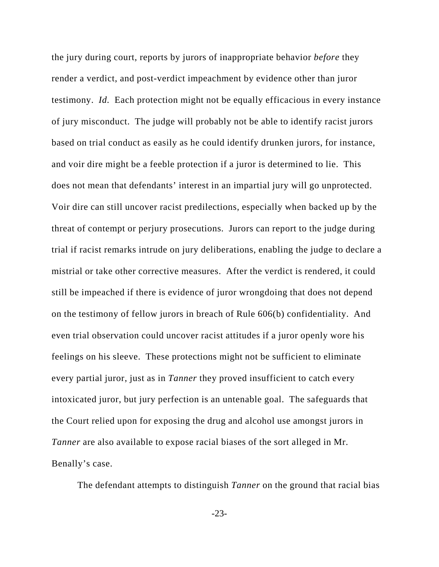the jury during court, reports by jurors of inappropriate behavior *before* they render a verdict, and post-verdict impeachment by evidence other than juror testimony. *Id.* Each protection might not be equally efficacious in every instance of jury misconduct. The judge will probably not be able to identify racist jurors based on trial conduct as easily as he could identify drunken jurors, for instance, and voir dire might be a feeble protection if a juror is determined to lie. This does not mean that defendants' interest in an impartial jury will go unprotected. Voir dire can still uncover racist predilections, especially when backed up by the threat of contempt or perjury prosecutions. Jurors can report to the judge during trial if racist remarks intrude on jury deliberations, enabling the judge to declare a mistrial or take other corrective measures. After the verdict is rendered, it could still be impeached if there is evidence of juror wrongdoing that does not depend on the testimony of fellow jurors in breach of Rule 606(b) confidentiality. And even trial observation could uncover racist attitudes if a juror openly wore his feelings on his sleeve. These protections might not be sufficient to eliminate every partial juror, just as in *Tanner* they proved insufficient to catch every intoxicated juror, but jury perfection is an untenable goal. The safeguards that the Court relied upon for exposing the drug and alcohol use amongst jurors in *Tanner* are also available to expose racial biases of the sort alleged in Mr. Benally's case.

The defendant attempts to distinguish *Tanner* on the ground that racial bias

-23-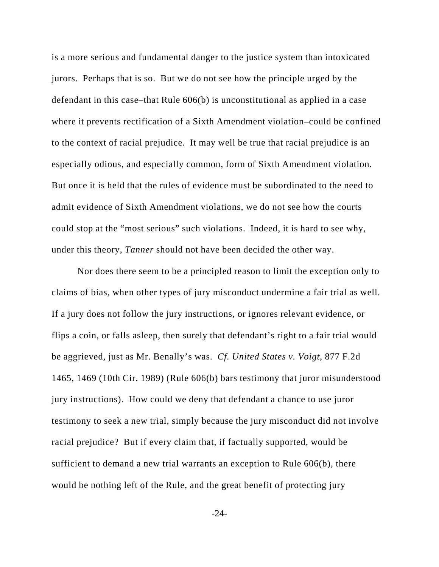is a more serious and fundamental danger to the justice system than intoxicated jurors. Perhaps that is so. But we do not see how the principle urged by the defendant in this case–that Rule 606(b) is unconstitutional as applied in a case where it prevents rectification of a Sixth Amendment violation–could be confined to the context of racial prejudice. It may well be true that racial prejudice is an especially odious, and especially common, form of Sixth Amendment violation. But once it is held that the rules of evidence must be subordinated to the need to admit evidence of Sixth Amendment violations, we do not see how the courts could stop at the "most serious" such violations. Indeed, it is hard to see why, under this theory, *Tanner* should not have been decided the other way.

Nor does there seem to be a principled reason to limit the exception only to claims of bias, when other types of jury misconduct undermine a fair trial as well. If a jury does not follow the jury instructions, or ignores relevant evidence, or flips a coin, or falls asleep, then surely that defendant's right to a fair trial would be aggrieved, just as Mr. Benally's was. *Cf. United States v. Voigt*, 877 F.2d 1465, 1469 (10th Cir. 1989) (Rule 606(b) bars testimony that juror misunderstood jury instructions). How could we deny that defendant a chance to use juror testimony to seek a new trial, simply because the jury misconduct did not involve racial prejudice? But if every claim that, if factually supported, would be sufficient to demand a new trial warrants an exception to Rule 606(b), there would be nothing left of the Rule, and the great benefit of protecting jury

-24-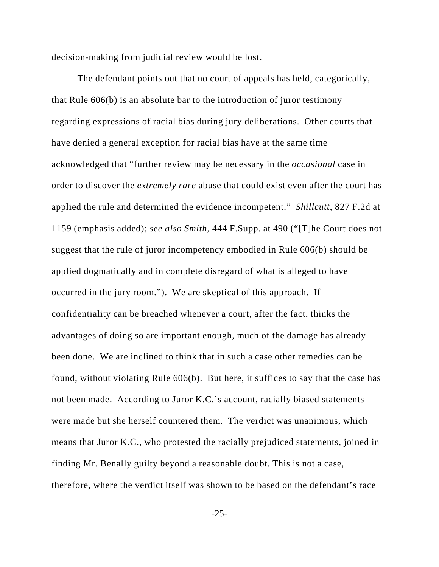decision-making from judicial review would be lost.

The defendant points out that no court of appeals has held, categorically, that Rule 606(b) is an absolute bar to the introduction of juror testimony regarding expressions of racial bias during jury deliberations. Other courts that have denied a general exception for racial bias have at the same time acknowledged that "further review may be necessary in the *occasional* case in order to discover the *extremely rare* abuse that could exist even after the court has applied the rule and determined the evidence incompetent." *Shillcutt*, 827 F.2d at 1159 (emphasis added); *see also Smith*, 444 F.Supp. at 490 ("[T]he Court does not suggest that the rule of juror incompetency embodied in Rule 606(b) should be applied dogmatically and in complete disregard of what is alleged to have occurred in the jury room."). We are skeptical of this approach. If confidentiality can be breached whenever a court, after the fact, thinks the advantages of doing so are important enough, much of the damage has already been done. We are inclined to think that in such a case other remedies can be found, without violating Rule 606(b). But here, it suffices to say that the case has not been made. According to Juror K.C.'s account, racially biased statements were made but she herself countered them. The verdict was unanimous, which means that Juror K.C., who protested the racially prejudiced statements, joined in finding Mr. Benally guilty beyond a reasonable doubt. This is not a case, therefore, where the verdict itself was shown to be based on the defendant's race

-25-